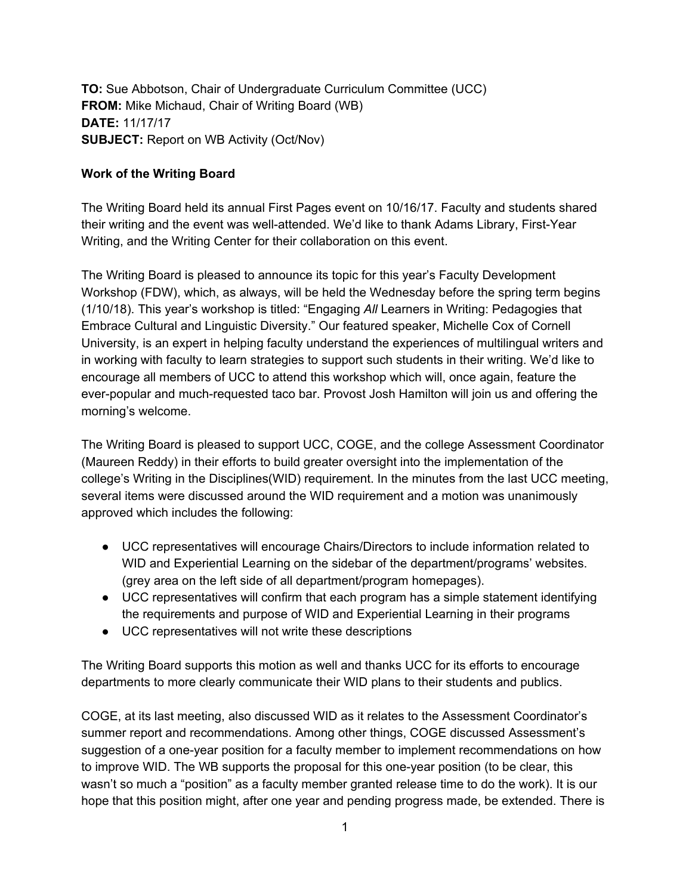**TO:** Sue Abbotson, Chair of Undergraduate Curriculum Committee (UCC) **FROM:** Mike Michaud, Chair of Writing Board (WB) **DATE:** 11/17/17 **SUBJECT:** Report on WB Activity (Oct/Nov)

## **Work of the Writing Board**

The Writing Board held its annual First Pages event on 10/16/17. Faculty and students shared their writing and the event was well-attended. We'd like to thank Adams Library, First-Year Writing, and the Writing Center for their collaboration on this event.

The Writing Board is pleased to announce its topic for this year's Faculty Development Workshop (FDW), which, as always, will be held the Wednesday before the spring term begins (1/10/18). This year's workshop is titled: "Engaging *All* Learners in Writing: Pedagogies that Embrace Cultural and Linguistic Diversity." Our featured speaker, Michelle Cox of Cornell University, is an expert in helping faculty understand the experiences of multilingual writers and in working with faculty to learn strategies to support such students in their writing. We'd like to encourage all members of UCC to attend this workshop which will, once again, feature the ever-popular and much-requested taco bar. Provost Josh Hamilton will join us and offering the morning's welcome.

The Writing Board is pleased to support UCC, COGE, and the college Assessment Coordinator (Maureen Reddy) in their efforts to build greater oversight into the implementation of the college's Writing in the Disciplines(WID) requirement. In the minutes from the last UCC meeting, several items were discussed around the WID requirement and a motion was unanimously approved which includes the following:

- UCC representatives will encourage Chairs/Directors to include information related to WID and Experiential Learning on the sidebar of the department/programs' websites. (grey area on the left side of all department/program homepages).
- UCC representatives will confirm that each program has a simple statement identifying the requirements and purpose of WID and Experiential Learning in their programs
- UCC representatives will not write these descriptions

The Writing Board supports this motion as well and thanks UCC for its efforts to encourage departments to more clearly communicate their WID plans to their students and publics.

COGE, at its last meeting, also discussed WID as it relates to the Assessment Coordinator's summer report and recommendations. Among other things, COGE discussed Assessment's suggestion of a one-year position for a faculty member to implement recommendations on how to improve WID. The WB supports the proposal for this one-year position (to be clear, this wasn't so much a "position" as a faculty member granted release time to do the work). It is our hope that this position might, after one year and pending progress made, be extended. There is